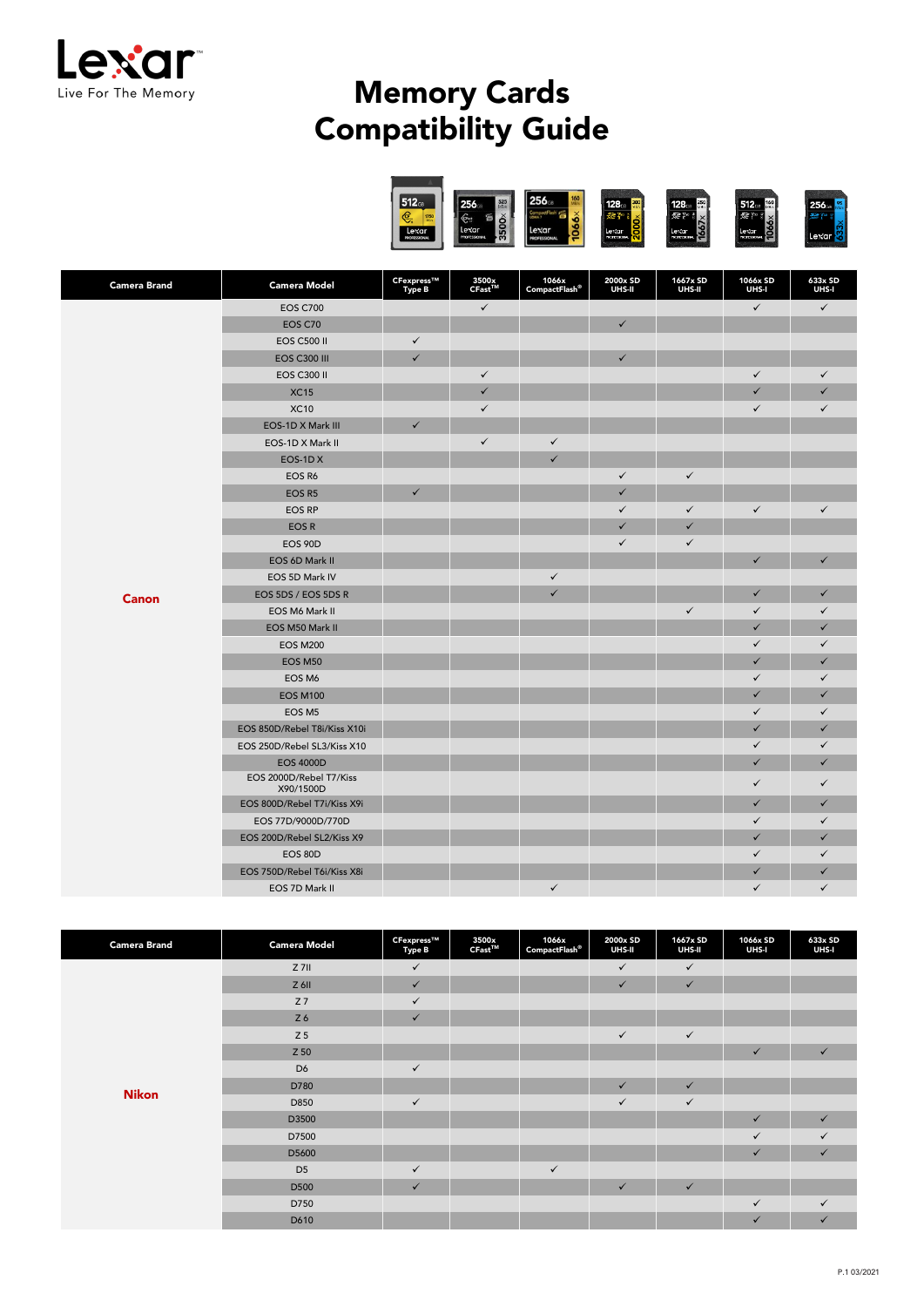

## Memory Cards Compatibility Guide



| <b>Camera Brand</b> | <b>Camera Model</b>                  | CFexpress™<br><b>Type B</b> | 3500x<br>CFast™ | 1066x<br>CompactFlash® | 2000x SD<br>UHS-II | 1667x SD<br>UHS-II | 1066x SD<br>UHS-I | 633x SD<br>UHS-I |
|---------------------|--------------------------------------|-----------------------------|-----------------|------------------------|--------------------|--------------------|-------------------|------------------|
|                     | <b>EOS C700</b>                      |                             | $\checkmark$    |                        |                    |                    | $\checkmark$      | $\checkmark$     |
|                     | EOS C70                              |                             |                 |                        | $\checkmark$       |                    |                   |                  |
|                     | <b>EOS C500 II</b>                   | $\checkmark$                |                 |                        |                    |                    |                   |                  |
|                     | <b>EOS C300 III</b>                  | $\checkmark$                |                 |                        | $\checkmark$       |                    |                   |                  |
|                     | <b>EOS C300 II</b>                   |                             | $\checkmark$    |                        |                    |                    | $\checkmark$      | $\checkmark$     |
|                     | <b>XC15</b>                          |                             | $\checkmark$    |                        |                    |                    | $\checkmark$      | $\checkmark$     |
|                     | <b>XC10</b>                          |                             | $\checkmark$    |                        |                    |                    | $\checkmark$      | $\checkmark$     |
|                     | EOS-1D X Mark III                    | $\checkmark$                |                 |                        |                    |                    |                   |                  |
|                     | EOS-1D X Mark II                     |                             | $\checkmark$    | $\checkmark$           |                    |                    |                   |                  |
|                     | EOS-1DX                              |                             |                 | $\checkmark$           |                    |                    |                   |                  |
|                     | EOS R6                               |                             |                 |                        | $\checkmark$       | $\checkmark$       |                   |                  |
|                     | EOS R5                               | $\checkmark$                |                 |                        | $\checkmark$       |                    |                   |                  |
|                     | <b>EOS RP</b>                        |                             |                 |                        | $\checkmark$       | $\checkmark$       | $\checkmark$      | $\checkmark$     |
|                     | EOS R                                |                             |                 |                        | $\checkmark$       | $\checkmark$       |                   |                  |
|                     | <b>EOS 90D</b>                       |                             |                 |                        | $\checkmark$       | $\checkmark$       |                   |                  |
|                     | EOS 6D Mark II                       |                             |                 |                        |                    |                    | $\checkmark$      | $\checkmark$     |
|                     | EOS 5D Mark IV                       |                             |                 | $\checkmark$           |                    |                    |                   |                  |
| <b>Canon</b>        | EOS 5DS / EOS 5DS R                  |                             |                 | $\checkmark$           |                    |                    | $\checkmark$      | $\checkmark$     |
|                     | EOS M6 Mark II                       |                             |                 |                        |                    | $\checkmark$       | $\checkmark$      | $\checkmark$     |
|                     | EOS M50 Mark II                      |                             |                 |                        |                    |                    | $\checkmark$      | $\checkmark$     |
|                     | <b>EOS M200</b>                      |                             |                 |                        |                    |                    | $\checkmark$      | $\checkmark$     |
|                     | EOS M50                              |                             |                 |                        |                    |                    | $\checkmark$      | $\checkmark$     |
|                     | EOS M6                               |                             |                 |                        |                    |                    | $\checkmark$      | $\checkmark$     |
|                     | <b>EOS M100</b>                      |                             |                 |                        |                    |                    | $\checkmark$      | $\checkmark$     |
|                     | EOS M5                               |                             |                 |                        |                    |                    | $\checkmark$      | $\checkmark$     |
|                     | EOS 850D/Rebel T8i/Kiss X10i         |                             |                 |                        |                    |                    | ✓                 | $\checkmark$     |
|                     | EOS 250D/Rebel SL3/Kiss X10          |                             |                 |                        |                    |                    | $\checkmark$      | $\checkmark$     |
|                     | <b>EOS 4000D</b>                     |                             |                 |                        |                    |                    | $\checkmark$      | $\checkmark$     |
|                     | EOS 2000D/Rebel T7/Kiss<br>X90/1500D |                             |                 |                        |                    |                    | $\checkmark$      | $\checkmark$     |
|                     | EOS 800D/Rebel T7i/Kiss X9i          |                             |                 |                        |                    |                    | $\checkmark$      | $\checkmark$     |
|                     | EOS 77D/9000D/770D                   |                             |                 |                        |                    |                    | $\checkmark$      | $\checkmark$     |
|                     | EOS 200D/Rebel SL2/Kiss X9           |                             |                 |                        |                    |                    | $\checkmark$      | $\checkmark$     |
|                     | EOS 80D                              |                             |                 |                        |                    |                    | $\checkmark$      | $\checkmark$     |
|                     | EOS 750D/Rebel T6i/Kiss X8i          |                             |                 |                        |                    |                    | $\checkmark$      | $\checkmark$     |
|                     | EOS 7D Mark II                       |                             |                 | $\checkmark$           |                    |                    | $\checkmark$      | $\checkmark$     |

| <b>Camera Brand</b> | <b>Camera Model</b> | CFexpress™<br><b>Type B</b> | 3500x<br>CFast™ | 1066x<br>$\mathsf{CompactFlash}^\otimes$ | 2000x SD<br>UHS-II | 1667x SD<br>UHS-II | 1066x SD<br>UHS-I | 633x SD<br>UHS-I |
|---------------------|---------------------|-----------------------------|-----------------|------------------------------------------|--------------------|--------------------|-------------------|------------------|
|                     | $Z$ 7II             | $\checkmark$                |                 |                                          | $\checkmark$       | $\checkmark$       |                   |                  |
|                     | $Z$ 6II             | $\checkmark$                |                 |                                          | $\checkmark$       | $\checkmark$       |                   |                  |
|                     | Z <sub>7</sub>      | $\checkmark$                |                 |                                          |                    |                    |                   |                  |
|                     | Z 6                 | $\checkmark$                |                 |                                          |                    |                    |                   |                  |
|                     | Z <sub>5</sub>      |                             |                 |                                          | $\checkmark$       | $\checkmark$       |                   |                  |
|                     | Z 50                |                             |                 |                                          |                    |                    | $\checkmark$      | $\checkmark$     |
|                     | D <sub>6</sub>      | $\checkmark$                |                 |                                          |                    |                    |                   |                  |
| <b>Nikon</b>        | D780                |                             |                 |                                          | $\checkmark$       | $\checkmark$       |                   |                  |
|                     | D850                | $\checkmark$                |                 |                                          | $\checkmark$       | $\checkmark$       |                   |                  |
|                     | D3500               |                             |                 |                                          |                    |                    | $\checkmark$      | $\checkmark$     |
|                     | D7500               |                             |                 |                                          |                    |                    | $\checkmark$      | $\checkmark$     |
|                     | D5600               |                             |                 |                                          |                    |                    | $\checkmark$      | $\checkmark$     |
|                     | D <sub>5</sub>      | $\checkmark$                |                 | $\checkmark$                             |                    |                    |                   |                  |
|                     | D500                | $\checkmark$                |                 |                                          | $\checkmark$       | $\checkmark$       |                   |                  |
|                     | D750                |                             |                 |                                          |                    |                    | $\checkmark$      | $\checkmark$     |
|                     | D610                |                             |                 |                                          |                    |                    | $\checkmark$      | $\checkmark$     |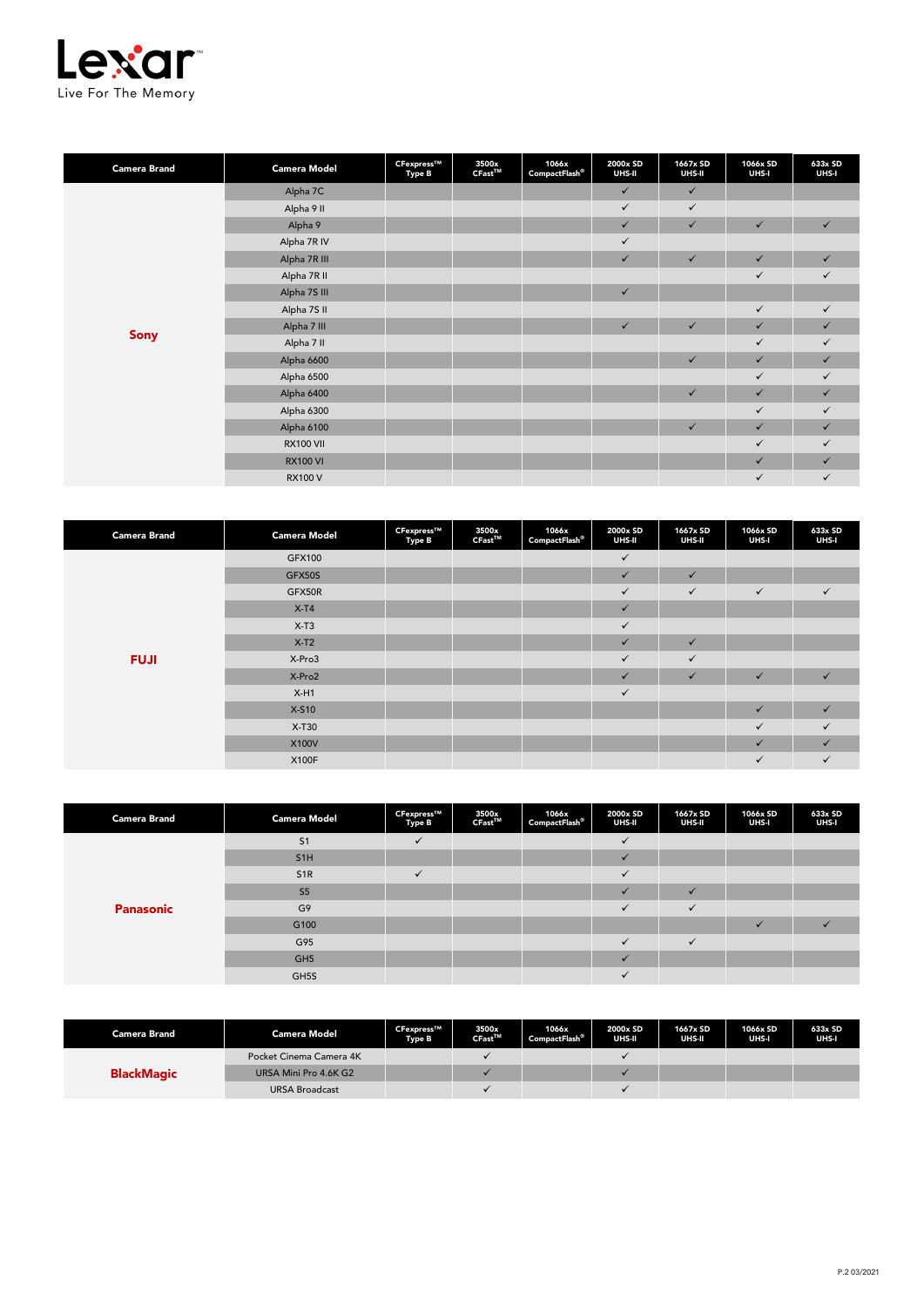

| <b>Camera Brand</b> | <b>Camera Model</b> | CFexpress™<br><b>Type B</b> | 3500x<br>$CFast^{\text{TM}}$ | 1066x<br>CompactFlash® | 2000x SD<br>UHS-II | 1667x SD<br>UHS-II | 1066x SD<br>UHS-I | 633x SD<br>UHS-I |
|---------------------|---------------------|-----------------------------|------------------------------|------------------------|--------------------|--------------------|-------------------|------------------|
|                     | Alpha 7C            |                             |                              |                        | $\checkmark$       | $\checkmark$       |                   |                  |
|                     | Alpha 9 II          |                             |                              |                        | $\checkmark$       | $\checkmark$       |                   |                  |
|                     | Alpha 9             |                             |                              |                        | $\checkmark$       | $\checkmark$       | $\checkmark$      | $\checkmark$     |
|                     | Alpha 7R IV         |                             |                              |                        | $\checkmark$       |                    |                   |                  |
|                     | Alpha 7R III        |                             |                              |                        | $\checkmark$       | $\checkmark$       | $\checkmark$      | $\checkmark$     |
|                     | Alpha 7R II         |                             |                              |                        |                    |                    | $\checkmark$      | $\checkmark$     |
|                     | Alpha 7S III        |                             |                              |                        | $\checkmark$       |                    |                   |                  |
|                     | Alpha 7S II         |                             |                              |                        |                    |                    | $\checkmark$      | $\checkmark$     |
|                     | Alpha 7 III         |                             |                              |                        | $\checkmark$       | $\checkmark$       | $\checkmark$      | $\checkmark$     |
| Sony                | Alpha 7 II          |                             |                              |                        |                    |                    | $\checkmark$      | $\checkmark$     |
|                     | Alpha 6600          |                             |                              |                        |                    | $\checkmark$       | $\checkmark$      | $\checkmark$     |
|                     | Alpha 6500          |                             |                              |                        |                    |                    | $\checkmark$      | $\checkmark$     |
|                     | Alpha 6400          |                             |                              |                        |                    | $\checkmark$       | $\checkmark$      | $\checkmark$     |
|                     | Alpha 6300          |                             |                              |                        |                    |                    | $\checkmark$      | $\checkmark$     |
|                     | Alpha 6100          |                             |                              |                        |                    | $\checkmark$       | $\checkmark$      | $\checkmark$     |
|                     | <b>RX100 VII</b>    |                             |                              |                        |                    |                    | $\checkmark$      | $\checkmark$     |
|                     | <b>RX100 VI</b>     |                             |                              |                        |                    |                    | $\checkmark$      | $\checkmark$     |
|                     | <b>RX100 V</b>      |                             |                              |                        |                    |                    | $\checkmark$      | $\checkmark$     |

| <b>Camera Brand</b> | <b>Camera Model</b> | CFexpress™<br>Type B | 3500x<br>$CFast^{TM}$ | 1066x<br>CompactFlash® | 2000x SD<br>UHS-II      | 1667x SD<br>UHS-II | 1066x SD<br>UHS-I | 633x SD<br>UHS-I |
|---------------------|---------------------|----------------------|-----------------------|------------------------|-------------------------|--------------------|-------------------|------------------|
|                     | GFX100              |                      |                       |                        | $\checkmark$            |                    |                   |                  |
|                     | GFX50S              |                      |                       |                        | $\checkmark$            | $\checkmark$       |                   |                  |
|                     | GFX50R              |                      |                       |                        | $\checkmark$            | $\checkmark$       | $\checkmark$      | $\checkmark$     |
|                     | $X-T4$              |                      |                       |                        | $\checkmark$            |                    |                   |                  |
|                     | $X-T3$              |                      |                       |                        | $\checkmark$            |                    |                   |                  |
|                     | $X-T2$              |                      |                       |                        | $\checkmark$            | $\checkmark$       |                   |                  |
| <b>FUJI</b>         | X-Pro3              |                      |                       |                        | $\checkmark$            | $\checkmark$       |                   |                  |
|                     | X-Pro2              |                      |                       |                        | $\overline{\mathbf{v}}$ | $\checkmark$       | $\checkmark$      | $\checkmark$     |
|                     | $X-H1$              |                      |                       |                        | $\checkmark$            |                    |                   |                  |
|                     | X-S10               |                      |                       |                        |                         |                    | $\checkmark$      | $\checkmark$     |
|                     | X-T30               |                      |                       |                        |                         |                    | $\checkmark$      | $\checkmark$     |
|                     | X100V               |                      |                       |                        |                         |                    | ✓                 | ✓                |
|                     | X100F               |                      |                       |                        |                         |                    | $\checkmark$      | $\checkmark$     |

| <b>Camera Brand</b> | <b>Camera Model</b> | CFexpress™<br>Type B | 3500x<br>CFast™ | 1066x<br>Compatch <sup>®</sup> | 2000x SD<br>UHS-II | 1667x SD<br>UHS-II | 1066x SD<br>UHS-I       | 633x SD<br>UHS-I |
|---------------------|---------------------|----------------------|-----------------|--------------------------------|--------------------|--------------------|-------------------------|------------------|
|                     | S <sub>1</sub>      |                      |                 |                                | $\cdot$            |                    |                         |                  |
|                     | S <sub>1</sub> H    |                      |                 |                                | $\checkmark$       |                    |                         |                  |
| <b>Panasonic</b>    | S <sub>1R</sub>     | $\checkmark$         |                 |                                | $\checkmark$       |                    |                         |                  |
|                     | S <sub>5</sub>      |                      |                 |                                | $\cdot$            | $\checkmark$       |                         |                  |
|                     | G <sub>9</sub>      |                      |                 |                                | $\checkmark$       | $\checkmark$       |                         |                  |
|                     | G100                |                      |                 |                                |                    |                    | $\overline{\mathbf{v}}$ |                  |
|                     | G95                 |                      |                 |                                | $\checkmark$       | $\checkmark$       |                         |                  |
|                     | GH <sub>5</sub>     |                      |                 |                                | $\checkmark$       |                    |                         |                  |
|                     | GH5S                |                      |                 |                                | $\checkmark$       |                    |                         |                  |

| <b>Camera Brand</b> | <b>Camera Model</b>     | CFexpress™<br><b>Type B</b> | 3500x<br>$CFast^{\text{TM}}$ | 1066x<br><b>CompactFlash®</b> | 2000x SD<br>UHS-II | 1667x SD<br>UHS-II | 1066x SD<br>UHS-I | 633x SD<br>UHS-I |
|---------------------|-------------------------|-----------------------------|------------------------------|-------------------------------|--------------------|--------------------|-------------------|------------------|
| <b>BlackMagic</b>   | Pocket Cinema Camera 4K |                             |                              |                               |                    |                    |                   |                  |
|                     | URSA Mini Pro 4.6K G2   |                             |                              |                               |                    |                    |                   |                  |
|                     | <b>URSA Broadcast</b>   |                             |                              |                               |                    |                    |                   |                  |